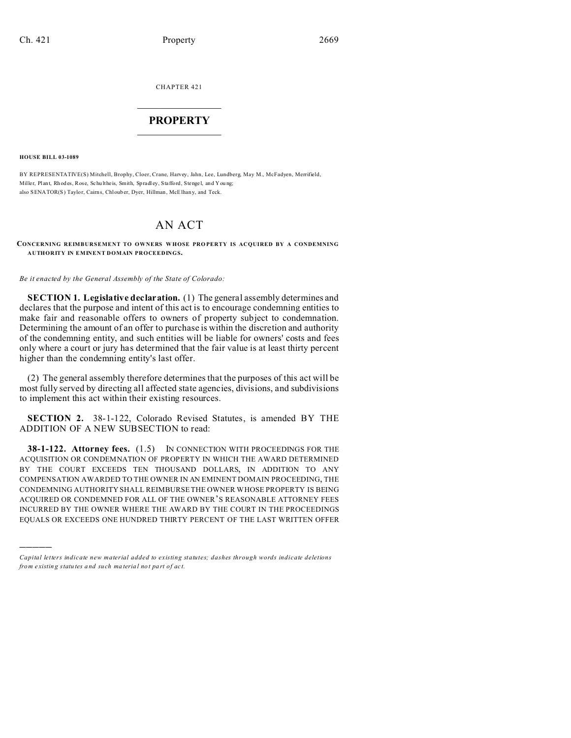CHAPTER 421  $\overline{\phantom{a}}$  , where  $\overline{\phantom{a}}$ 

## **PROPERTY**  $\_$   $\_$   $\_$   $\_$   $\_$   $\_$   $\_$   $\_$   $\_$   $\_$

**HOUSE BILL 03-1089**

)))))

BY REPRESENTATIVE(S) Mitchell, Brophy, Cloer, Crane, Harvey, Jahn, Lee, Lundberg, May M., McFadyen, Merrifield, Miller, Plant, Rh od es, Rose, Schulthe is, Smith, Spradley, Stafford, Stengel, and Young; also SENATOR(S) Taylor, Cairns, Chloub er, Dyer, Hillman, McElhan y, and Teck.

## AN ACT

**CONCERNING REIMBURSEMENT TO OWNERS WHOSE PRO PERTY IS ACQUIRED BY A CONDEMNING AUTHORITY IN EMINENT DOMAIN PROCEEDINGS.**

*Be it enacted by the General Assembly of the State of Colorado:*

**SECTION 1. Legislative declaration.** (1) The general assembly determines and declares that the purpose and intent of this act is to encourage condemning entities to make fair and reasonable offers to owners of property subject to condemnation. Determining the amount of an offer to purchase is within the discretion and authority of the condemning entity, and such entities will be liable for owners' costs and fees only where a court or jury has determined that the fair value is at least thirty percent higher than the condemning entity's last offer.

(2) The general assembly therefore determines that the purposes of this act will be most fully served by directing all affected state agencies, divisions, and subdivisions to implement this act within their existing resources.

**SECTION 2.** 38-1-122, Colorado Revised Statutes, is amended BY THE ADDITION OF A NEW SUBSECTION to read:

**38-1-122. Attorney fees.** (1.5) IN CONNECTION WITH PROCEEDINGS FOR THE ACQUISITION OR CONDEMNATION OF PROPERTY IN WHICH THE AWARD DETERMINED BY THE COURT EXCEEDS TEN THOUSAND DOLLARS, IN ADDITION TO ANY COMPENSATION AWARDED TO THE OWNER IN AN EMINENT DOMAIN PROCEEDING, THE CONDEMNING AUTHORITY SHALL REIMBURSE THE OWNER WHOSE PROPERTY IS BEING ACQUIRED OR CONDEMNED FOR ALL OF THE OWNER'S REASONABLE ATTORNEY FEES INCURRED BY THE OWNER WHERE THE AWARD BY THE COURT IN THE PROCEEDINGS EQUALS OR EXCEEDS ONE HUNDRED THIRTY PERCENT OF THE LAST WRITTEN OFFER

*Capital letters indicate new material added to existing statutes; dashes through words indicate deletions from e xistin g statu tes a nd such ma teria l no t pa rt of ac t.*